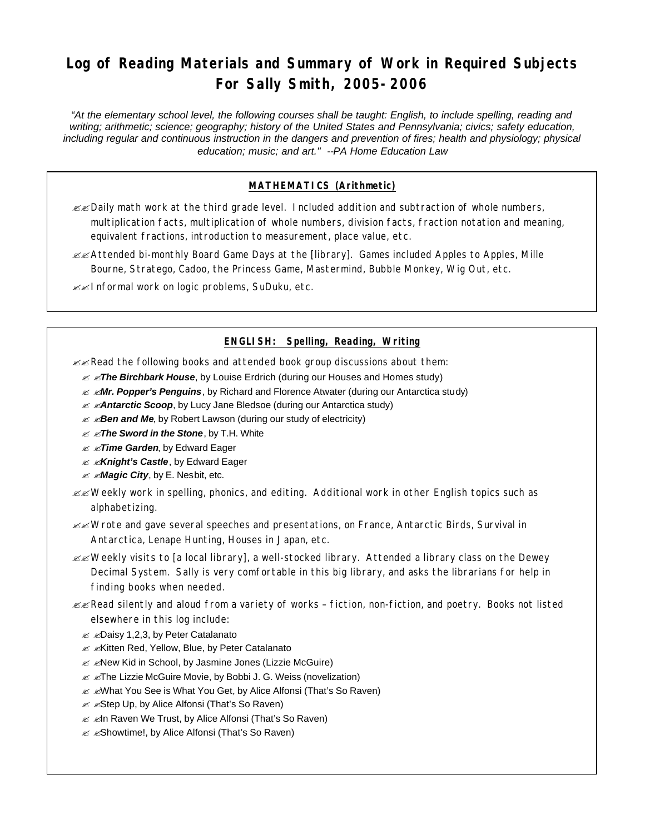# **Log of Reading Materials and Summary of Work in Required Subjects For Sally Smith, 2005-2006**

*"At the elementary school level, the following courses shall be taught: English, to include spelling, reading and writing; arithmetic; science; geography; history of the United States and Pennsylvania; civics; safety education,*  including regular and continuous instruction in the dangers and prevention of fires; health and physiology; physical *education; music; and art." --PA Home Education Law*

## **MATHEMATICS (Arithmetic)**

- ??Daily math work at the third grade level. Included addition and subtraction of whole numbers, multiplication facts, multiplication of whole numbers, division facts, fraction notation and meaning, equivalent fractions, introduction to measurement, place value, etc.
- ??Attended bi-monthly Board Game Days at the [library]. Games included Apples to Apples, Mille Bourne, Stratego, Cadoo, the Princess Game, Mastermind, Bubble Monkey, Wig Out, etc.
- $\mathscr{B}$  Informal work on logic problems, SuDuku, etc.

#### **ENGLISH: Spelling, Reading, Writing**

 $\mathcal{L}$  Read the following books and attended book group discussions about them:

- *i* ∡ *zThe Birchbark House*, by Louise Erdrich (during our Houses and Homes study)
- ? ?*Mr. Popper's Penguins*, by Richard and Florence Atwater (during our Antarctica study)
- $≤$  *<b>≤Antarctic Scoop*, by Lucy Jane Bledsoe (during our Antarctica study)
- $≤$  *≤Ben and Me*, by Robert Lawson (during our study of electricity)
- ? ?*The Sword in the Stone*, by T.H. White
- ? ?*Time Garden*, by Edward Eager
- ? ?*Knight's Castle*, by Edward Eager
- $≤$  *≤Magic City*, by E. Nesbit, etc.
- $\mathbb{Z}$  Weekly work in spelling, phonics, and editing. Additional work in other English topics such as alphabetizing.
- $\mathscr{B}$  Wrote and gave several speeches and presentations, on France, Antarctic Birds, Survival in Antarctica, Lenape Hunting, Houses in Japan, etc.
- $\ll$  Weekly visits to [a local library], a well-stocked library. Attended a library class on the Dewey Decimal System. Sally is very comfortable in this big library, and asks the librarians for help in finding books when needed.
- $\mathscr{B}$  Read silently and aloud from a variety of works fiction, non-fiction, and poetry. Books not listed elsewhere in this log include:
	- $\mathscr{A}$   $\mathscr{A}$ Daisy 1,2,3, by Peter Catalanato
	- **EXAMITED Red, Yellow, Blue, by Peter Catalanato**
	- $\mathscr{A}$   $\mathscr{A}$ New Kid in School, by Jasmine Jones (Lizzie McGuire)
	- **EXALUATE:** Example Movie, by Bobbi J. G. Weiss (novelization)
	- **EXAMER YOU See is What You Get, by Alice Alfonsi (That's So Raven)**
	- **EX** Estep Up, by Alice Alfonsi (That's So Raven)
	- **Ø Ørn Raven We Trust, by Alice Alfonsi (That's So Raven)**
	- $\mathscr{A}$   $\mathscr{A}$ Showtime!, by Alice Alfonsi (That's So Raven)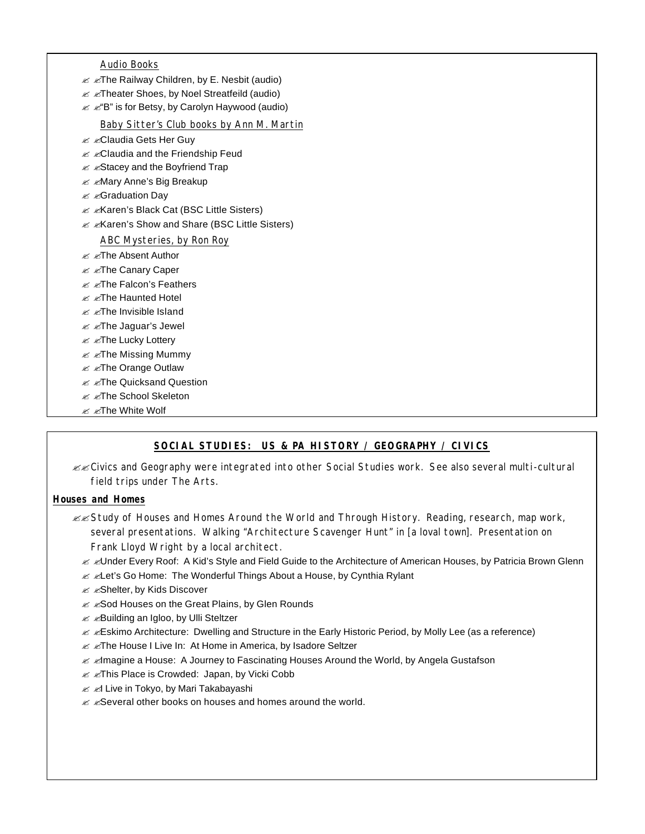Audio Books

- $\mathscr{A}$   $\mathscr{A}$ The Railway Children, by E. Nesbit (audio)
- $\mathscr{A}$   $\mathscr{A}$ Theater Shoes, by Noel Streatfeild (audio)
- $\mathscr{A}$   $\mathscr{A}'$ B" is for Betsy, by Carolyn Haywood (audio)

Baby Sitter's Club books by Ann M. Martin

- $\leq$   $\leq$ Claudia Gets Her Guy
- $\mathscr{A}$   $\mathscr{A}$ Claudia and the Friendship Feud
- $\mathscr{A}$   $\mathscr{A}$ Stacey and the Boyfriend Trap
- $\text{M}$  **∠Mary Anne's Big Breakup**
- $\mathscr{A}$   $\mathscr{A}$ Graduation Day
- $\mathscr{A}$   $\mathscr{A}$  A Karen's Black Cat (BSC Little Sisters)
- **EXAGER**'s Show and Share (BSC Little Sisters)

#### ABC Mysteries, by Ron Roy

- $\ll$   $\ll$ The Absent Author
- $\mathscr{A}$   $\mathscr{A}$ The Canary Caper
- $\mathscr{A}$   $\mathscr{A}$ The Falcon's Feathers
- $\ll$   $\ll$ The Haunted Hotel
- $\ll$   $\ll$ The Invisible Island
- $\mathscr{A}$   $\mathscr{A}$ The Jaguar's Jewel
- **E** EThe Lucky Lottery
- $\mathscr{A}$   $\mathscr{A}$ The Missing Mummy
- $\ll$   $\ll$ The Orange Outlaw
- $\mathscr{A}$   $\mathscr{A}$ The Quicksand Question
- $\ll$   $\ll$ The School Skeleton
- **Ø** *ø***The White Wolf**

## **SOCIAL STUDIES: US & PA HISTORY / GEOGRAPHY / CIVICS**

??Civics and Geography were integrated into other Social Studies work. See also several multi-cultural field trips under The Arts.

#### **Houses and Homes**

- ??Study of Houses and Homes Around the World and Through History. Reading, research, map work, several presentations. Walking "Architecture Scavenger Hunt" in [a loval town]. Presentation on Frank Lloyd Wright by a local architect.
	- ? ?Under Every Roof: A Kid's Style and Field Guide to the Architecture of American Houses, by Patricia Brown Glenn
	- $\mathscr{A}$   $\mathscr{A}$  Let's Go Home: The Wonderful Things About a House, by Cynthia Rylant
	- $\mathscr{A}$   $\mathscr{A}$ Shelter, by Kids Discover
	- $≤$  $≤$ **Sod Houses on the Great Plains, by Glen Rounds**
	- **EXA EXAGUILDING AN IGLOO, by Ulli Steltzer**
	- ? ?Eskimo Architecture: Dwelling and Structure in the Early Historic Period, by Molly Lee (as a reference)
	- $\mathscr{A}$   $\mathscr{A}$ The House I Live In: At Home in America, by Isadore Seltzer
	- ? ?Imagine a House: A Journey to Fascinating Houses Around the World, by Angela Gustafson
	- $\mathscr{A}$   $\mathscr{A}$ This Place is Crowded: Japan, by Vicki Cobb
	- & & Live in Tokyo, by Mari Takabayashi
	- $\mathscr{A}$   $\mathscr{A}$ Several other books on houses and homes around the world.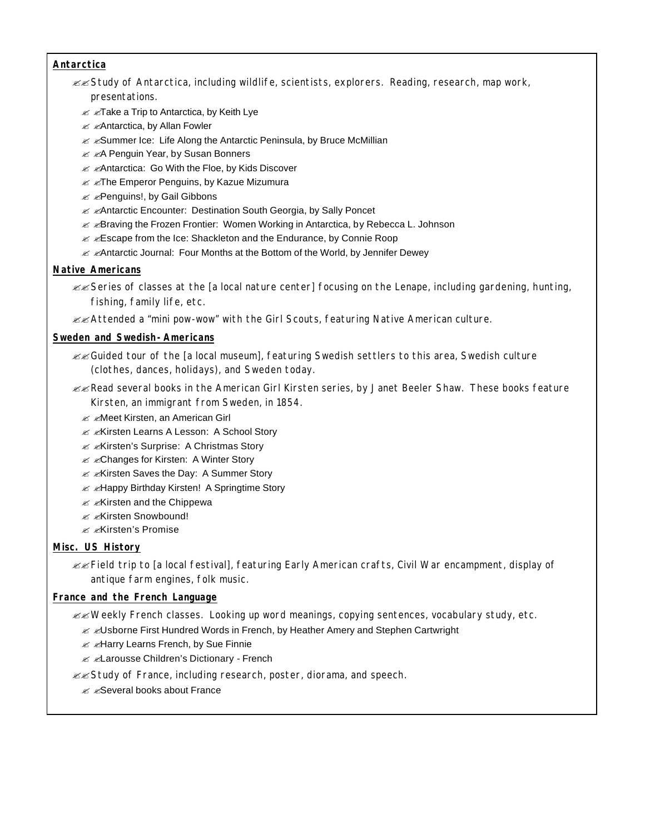#### **Antarctica**

- $\ll$  Study of Antarctica, including wildlife, scientists, explorers. Reading, research, map work, presentations.
	- $\mathscr{A}$   $\mathscr{A}$ Take a Trip to Antarctica, by Keith Lye
	- $\ll$   $\ll$ Antarctica, by Allan Fowler
	- $\mathscr{A}$   $\mathscr{A}$ Summer Ice: Life Along the Antarctic Peninsula, by Bruce McMillian
	- **EXA Penguin Year, by Susan Bonners**
	- **Ø ØAntarctica: Go With the Floe, by Kids Discover**
	- $\mathscr{A}$   $\mathscr{A}$ The Emperor Penguins, by Kazue Mizumura
	- $\mathscr{A}$   $\mathscr{A}$ Penguins!, by Gail Gibbons
	- $\mathscr{A}$   $\mathscr{A}$ Antarctic Encounter: Destination South Georgia, by Sally Poncet
	- $\mathscr{A}$   $\mathscr{A}$ Braving the Frozen Frontier: Women Working in Antarctica, by Rebecca L. Johnson
	- $\mathscr{L}$   $\mathscr{L}$ Escape from the Ice: Shackleton and the Endurance, by Connie Roop
	- $\mathscr{A}$ Antarctic Journal: Four Months at the Bottom of the World, by Jennifer Dewey

## **Native Americans**

- $\ll$  Series of classes at the [a local nature center] focusing on the Lenape, including gardening, hunting, fishing, family life, etc.
- $\ll$  Attended a "mini pow-wow" with the Girl Scouts, featuring Native American culture.

#### **Sweden and Swedish-Americans**

- $\ll$ Guided tour of the [a local museum], featuring Swedish settlers to this area, Swedish culture (clothes, dances, holidays), and Sweden today.
- $\mathbb{Z}$  Read several books in the American Girl Kirsten series, by Janet Beeler Shaw. These books feature Kirsten, an immigrant from Sweden, in 1854.
	- $\mathscr{A}$   $\mathscr{A}$ Meet Kirsten, an American Girl
	- $\mathscr{A}$   $\mathscr{A}$ Kirsten Learns A Lesson: A School Story
	- **EXIGER**'s Surprise: A Christmas Story
	- **EXALGER** Changes for Kirsten: A Winter Story
	- **EXIGUARY: A Summer Story**
	- $\mathscr{A}$   $\mathscr{A}$ Happy Birthday Kirsten! A Springtime Story
	- $\mathscr{A}$   $\mathscr{A}$ Kirsten and the Chippewa
	- ? ?Kirsten Snowbound!
	- ? ?Kirsten's Promise

## **Misc. US History**

??Field trip to [a local festival], featuring Early American crafts, Civil War encampment, display of antique farm engines, folk music.

## **France and the French Language**

 $\mathscr{B}$  Weekly French classes. Looking up word meanings, copying sentences, vocabulary study, etc.

- $\mathscr{A}$   $\mathscr{A}$ Usborne First Hundred Words in French, by Heather Amery and Stephen Cartwright
- $\mathscr{A}$   $\mathscr{A}$ Harry Learns French, by Sue Finnie
- **EX Example 28** Children's Dictionary French
- **EXA Study of France, including research, poster, diorama, and speech.** 
	- $\mathscr{A}$   $\mathscr{A}$ Several books about France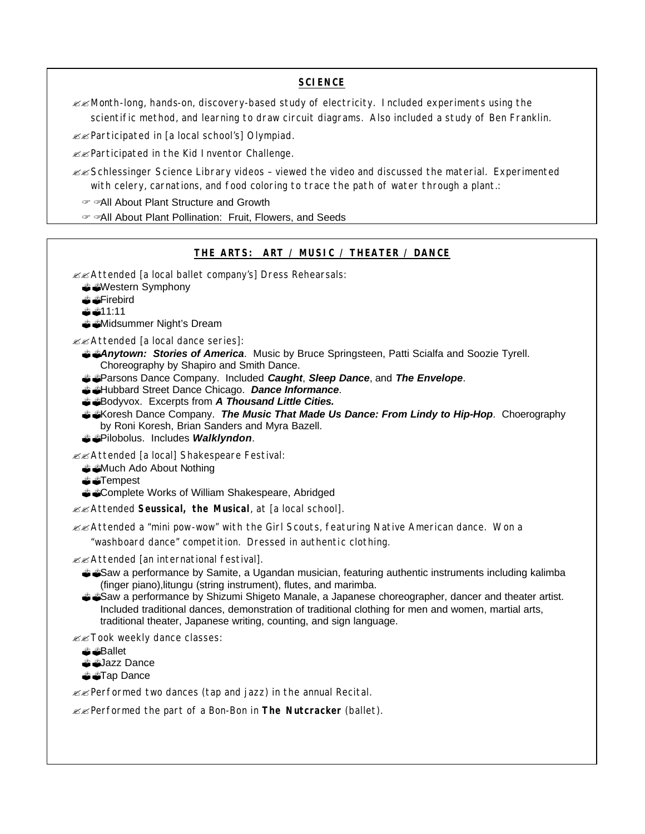#### **SCIENCE**

??Month-long, hands-on, discovery-based study of electricity. Included experiments using the scientific method, and learning to draw circuit diagrams. Also included a study of Ben Franklin.

??Participated in [a local school's] Olympiad.

??Participated in the Kid Inventor Challenge.

 $\mathscr{B}$ Schlessinger Science Library videos - viewed the video and discussed the material. Experimented with celery, carnations, and food coloring to trace the path of water through a plant.:

All About Plant Structure and Growth

? ?All About Plant Pollination: Fruit, Flowers, and Seeds

#### **THE ARTS: ART / MUSIC / THEATER / DANCE**

??Attended [a local ballet company's] Dress Rehearsals:

- ??Western Symphony
- *<sup></sup> €*Firebird
- ??11:11

??Midsummer Night's Dream

??Attended [a local dance series]:

??*Anytown: Stories of America*. Music by Bruce Springsteen, Patti Scialfa and Soozie Tyrell. Choreography by Shapiro and Smith Dance.

- ??Parsons Dance Company. Included *Caught*, *Sleep Dance*, and *The Envelope*.
- ??Hubbard Street Dance Chicago. *Dance Informance*.
- ??Bodyvox. Excerpts from *A Thousand Little Cities.*
- ??Koresh Dance Company. *The Music That Made Us Dance: From Lindy to Hip-Hop*. Choerography by Roni Koresh, Brian Sanders and Myra Bazell.
- ??Pilobolus. Includes *Walklyndon*.

??Attended [a local] Shakespeare Festival:

- <sup>2</sup> Much Ado About Nothing
- ??Tempest
- ??Complete Works of William Shakespeare, Abridged

??Attended *Seussical, the Musical*, at [a local school].

??Attended a "mini pow-wow" with the Girl Scouts, featuring Native American dance. Won a

"washboard dance" competition. Dressed in authentic clothing.

??Attended [an international festival].

- ??Saw a performance by Samite, a Ugandan musician, featuring authentic instruments including kalimba (finger piano),litungu (string instrument), flutes, and marimba.
- ??Saw a performance by Shizumi Shigeto Manale, a Japanese choreographer, dancer and theater artist. Included traditional dances, demonstration of traditional clothing for men and women, martial arts, traditional theater, Japanese writing, counting, and sign language.

**EXTOOK weekly dance classes:** 

- ??Ballet
- *S*Jazz Dance
- *<sup></sub>***a ⊿arab Dance**</sup>

 $\mathbb{Z}$  Performed two dances (tap and jazz) in the annual Recital.

??Performed the part of a Bon-Bon in *The Nutcracker* (ballet).